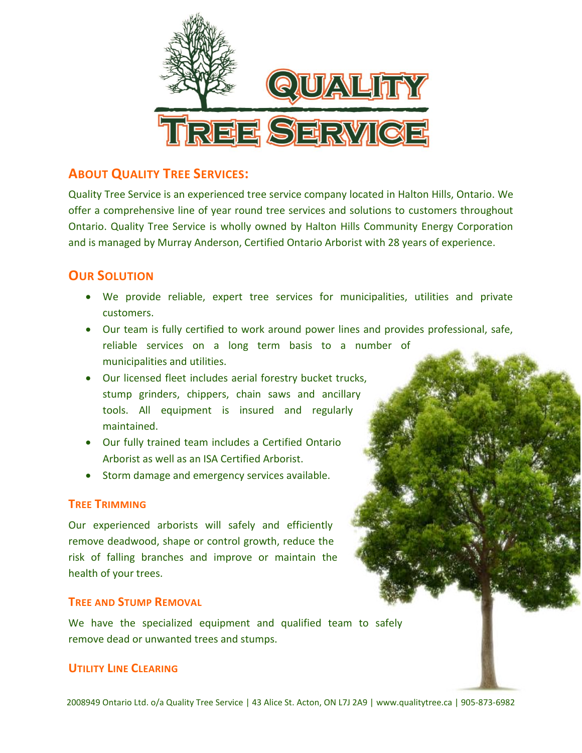

# **ABOUT QUALITY TREE SERVICES:**

Quality Tree Service is an experienced tree service company located in Halton Hills, Ontario. We offer a comprehensive line of year round tree services and solutions to customers throughout Ontario. Quality Tree Service is wholly owned by Halton Hills Community Energy Corporation and is managed by Murray Anderson, Certified Ontario Arborist with 28 years of experience.

## **OUR SOLUTION**

- We provide reliable, expert tree services for municipalities, utilities and private customers.
- Our team is fully certified to work around power lines and provides professional, safe, reliable services on a long term basis to a number of municipalities and utilities.
- Our licensed fleet includes aerial forestry bucket trucks, stump grinders, chippers, chain saws and ancillary tools. All equipment is insured and regularly maintained.
- Our fully trained team includes a Certified Ontario Arborist as well as an ISA Certified Arborist.
- Storm damage and emergency services available.

### **TREE TRIMMING**

Our experienced arborists will safely and efficiently remove deadwood, shape or control growth, reduce the risk of falling branches and improve or maintain the health of your trees.

### **TREE AND STUMP REMOVAL**

We have the specialized equipment and qualified team to safely remove dead or unwanted trees and stumps.

## **UTILITY LINE CLEARING**